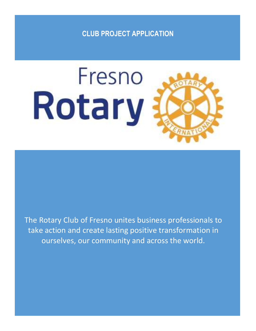# **CLUB PROJECT APPLICATION**



The Rotary Club of Fresno unites business professionals to take action and create lasting positive transformation in ourselves, our community and across the world.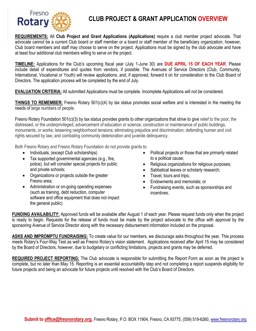

## **CLUB PROJECT & GRANT APPLICATION OVERVIEW**

**REQUIREMENTS:** All **Club Project and Grant Applications (Applications)** require a club member project advocate. That advocate cannot be a current Club board or staff member or a board or staff member of the beneficiary organization; however, Club board members and staff may choose to serve on the project. Applications must be signed by the club advocate and have at least four additional club members willing to serve on the project.

**TIMELINE:** Applications for the Club's upcoming fiscal year (July 1-June 30) are **DUE APRIL 15 OF EACH YEAR**. Please include detail of expenditures and quotes from vendors, if possible. The Avenues of Service Directors (Club, Community, International, Vocational or Youth) will review applications, and, if approved, forward it on for consideration to the Club Board of Directors. The application process will be completed by the end of July.

**EVALUATION CRITERIA:** All submitted Applications must be complete. Incomplete Applications will not be considered.

**THINGS TO REMEMBER:** Fresno Rotary 501(c)(4) by tax status promotes social welfare and is interested in the meeting the needs of large numbers of people.

Fresno Rotary Foundation 501(c)(3) by tax status provides grants to other organizations that strive to give relief to the poor, the distressed, or the underprivileged; advancement of education or science; construction or maintenance of public buildings, monuments, or works; lessening neighborhood tensions; eliminating prejudice and discrimination; defending human and civil rights secured by law; and combating community deterioration and juvenile delinquency.

Both Fresno Rotary and Fresno Rotary Foundation do not provide grants to:

- Individuals; (except Club scholarships)
- Tax supported governmental agencies (e.g., fire, police), but will consider special projects for public and private schools;
- Organizations or projects outside the greater Fresno area;
- Administration or on-going operating expenses (such as training, debt reduction, computer software and office equipment that does not impact the general public)
- Political projects or those that are primarily related to a political cause;
- Religious organizations for religious purposes;
- Sabbatical leaves or scholarly research;
- Travel, tours and trips;
- Endowments and memorials; or
- Fundraising events, such as sponsorships and incentives.

**FUNDING AVAILABILITY:** Approved funds will be available after August 1 of each year. Please request funds only when the project is ready to begin. Requests for the release of funds must be made by the project advocate to the office with approval by the sponsoring Avenue of Service Director along with the necessary disbursement information included on the proposal.

**ASKS AND IMPROMPTU FUNDRAISING:** To create value for our members, we discourage asks throughout the year. This process meets Rotary's Four-Way Test as well as Fresno Rotary's vision statement. Applications received after April 15 may be considered by the Board of Directors, however, due to budgetary or conflicting limitations, projects and grants may be deferred.

**REQUIRED PROJECT REPORTING:** The Club advocate is responsible for submitting the Report Form as soon as the project is complete, but no later than May 15. Reporting is an essential accountability step and not completing a report suspends eligibility for future projects and being an advocate for future projects until resolved with the Club's Board of Directors.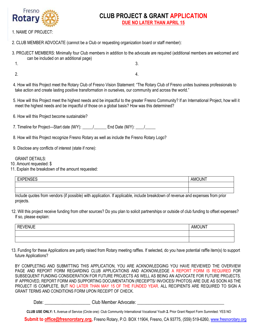

**2015 Fresho**<br>**2 CLUB PROJECT & GRANT APPLICATION DUE NO LATER THAN APRIL 15**

- 1. NAME OF PROJECT:
- 2. CLUB MEMBER ADVOCATE (cannot be a Club or requesting organization board or staff member):
- 3. PROJECT MEMBERS: Minimally four Club members in addition to the advocate are required (additional members are welcomed and can be included on an additional page)
	- 1.

3.

2.

4.

- 4. How will this Project meet the Rotary Club of Fresno Vision Statement: "The Rotary Club of Fresno unites business professionals to take action and create lasting positive transformation in ourselves, our community and across the world."
- 5. How will this Project meet the highest needs and be impactful to the greater Fresno Community? If an International Project, how will it meet the highest needs and be impactful of those on a global basis? How was this determined?
- 6. How will this Project become sustainable?
- 7. Timeline for Project—Start date  $(M/Y)$ :  $/$  End Date  $(M/Y)$ :  $/$
- 8. How will this Project recognize Fresno Rotary as well as include the Fresno Rotary Logo?
- 9. Disclose any conflicts of interest (state if none):

#### GRANT DETAILS:

- 10. Amount requested: \$
- 11. Explain the breakdown of the amount requested:

| . | $ -$ |
|---|------|
|   |      |
|   |      |

Include quotes from vendors (if possible) with application. If applicable, include breakdown of revenue and expenses from prior projects.

12. Will this project receive funding from other sources? Do you plan to solicit partnerships or outside of club funding to offset expenses? If so, please explain:

| /ENUE<br>RF<br>╶<br>$-$ | <b>AMOUNT</b> |
|-------------------------|---------------|
|                         |               |
|                         |               |

13. Funding for these Applications are partly raised from Rotary meeting raffles. If selected, do you have potential raffle item(s) to support future Applications?

BY COMPLETING AND SUBMITTING THIS APPLICATION, YOU ARE ACKNOWLEDGING YOU HAVE REVIEWED THE OVERVIEW PAGE AND REPORT FORM REGARDING CLUB APPLICATIONS AND ACKNOWLEDGE A REPORT FORM IS REQUIRED FOR SUBSEQUENT FUNDING CONSIDERATION FOR FUTURE PROJECTS AS WELL AS BEING AN ADVOCATE FOR FUTURE PROJECTS. IF APPROVED, REPORT FORM AND SUPPORTING DOCUMENTATION (RECEIPTS/ INVOICES/ PHOTOS) ARE DUE AS SOON AS THE PROJECT IS COMPLETE, BUT NO LATER THAN MAY 15 OF THE FUNDED YEAR. ALL RECIPIENTS ARE REQUIRED TO SIGN A GRANT TERMS AND CONDITIONS FORM UPON RECEIPT OF CHECK.

Date: \_\_\_\_\_\_\_\_\_\_\_\_\_\_\_\_\_\_\_\_\_\_\_Club Member Advocate: \_\_\_\_\_\_\_\_\_\_\_\_\_\_\_\_\_\_\_\_\_\_\_\_\_\_\_\_\_

**CLUB USE ONLY: 1.** Avenue of Service (Circle one): Club Community International Vocational Youth **2.** Prior Grant Report Form Summited: YES NO

**Submit to [office@fresnorotary.org,](mailto:office@fresnorotary.org)** Fresno Rotary, P.O. BOX 11904, Fresno, CA 93775, (559) 519-6260, [www.fresnorotary.org](http://www.fresnorotary.org/)